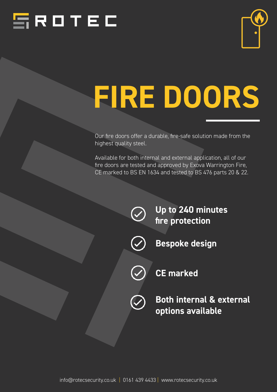



# *FIRE DOORS*

Our fire doors offer a durable, fire-safe solution made from the highest quality steel.

Available for both internal and external application, all of our fire doors are tested and approved by Exova Warrington Fire, CE marked to BS EN 1634 and tested to BS 476 parts 20 & 22.

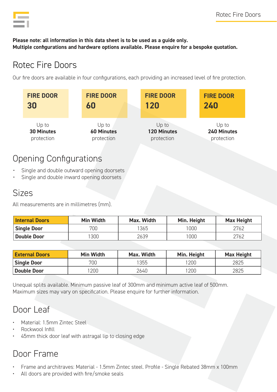

#### *Please note: all information in this data sheet is to be used as a guide only. Multiple configurations and hardware options available. Please enquire for a bespoke quotation.*

## Rotec Fire Doors

Our fire doors are available in four configurations, each providing an increased level of fire protection.

| <b>FIRE DOOR</b>  | <b>FIRE DOOR</b>  | <b>FIRE DOOR</b>   | <b>FIRE DOOR</b> |
|-------------------|-------------------|--------------------|------------------|
| 30                | 60                | 120                | 240              |
| Up to             | Up to             | Up to              | Up to            |
| <b>30 Minutes</b> | <b>60 Minutes</b> | <b>120 Minutes</b> | 240 Minutes      |
| protection        | protection        | protection         | protection       |

#### Opening Configurations

- Single and double outward opening doorsets
- Single and double inward opening doorsets

#### Sizes

All measurements are in millimetres (mm).

| <b>Internal Doors</b> | <b>Min Width</b> | Max. Width | Min. Height | <b>Max Height</b> |
|-----------------------|------------------|------------|-------------|-------------------|
| <b>Single Door</b>    | 700              | '365       | 1000        | 2762              |
| <b>Double Door</b>    | 300              | 2639       | '000'       | 2762              |

| <b>External Doors</b> | <b>Min Width</b> | Max. Width | Min. Height | <b>Max Height</b> |
|-----------------------|------------------|------------|-------------|-------------------|
| <b>Single Door</b>    | 700              | '355       | 200         | 2825              |
| <b>Double Door</b>    | 200              | 2640       | 200         | 2825              |

Unequal splits available. Minimum passive leaf of 300mm and minimum active leaf of 500mm. Maximum sizes may vary on specification. Please enquire for further information.

## Door Leaf

- Material: 1.5mm Zintec Steel
- Rockwool Infill
- 45mm thick door leaf with astragal lip to closing edge

# Door Frame

- Frame and architraves: Material 1.5mm Zintec steel. Profile Single Rebated 38mm x 100mm
- All doors are provided with fire/smoke seals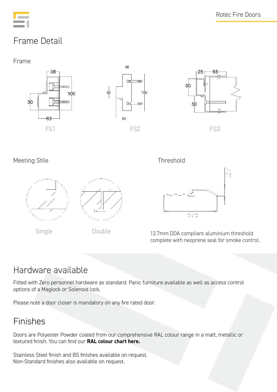

# Frame Detail





#### Meeting Stile **Meeting Stile** Meeting Stile Assessment and the Stile Assessment and Threshold



Single Double





12.7mm DDA compliant aluminium threshold complete with neoprene seal for smoke control.

## Hardware available

Fitted with Zero personnel hardware as standard. Panic furniture available as well as access control options of a Maglock or Solenoid lock.

Please note a door closer is mandatory on any fire rated door.

#### Finishes

Doors are Polyester Powder coated from our comprehensive RAL colour range in a matt, metallic or textured finish. You can find our *[RAL colour chart here.](https://www.rotecsecurity.co.uk/wp-content/uploads/2021/11/RAL-Colour-Chart.pdf)*

Stainless Steel finish and BS finishes available on request. Non-Standard finishes also available on request.